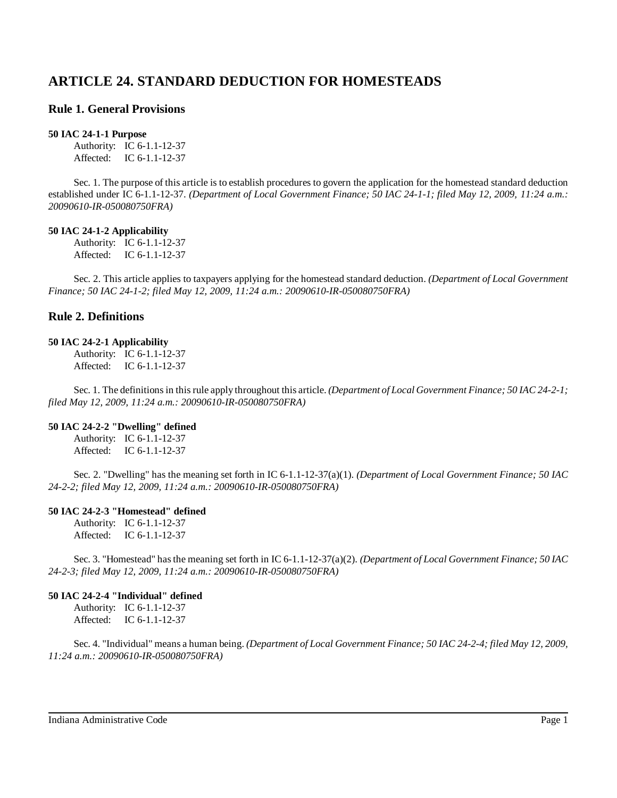# **ARTICLE 24. STANDARD DEDUCTION FOR HOMESTEADS**

## **Rule 1. General Provisions**

## **50 IAC 24-1-1 Purpose**

Authority: IC 6-1.1-12-37 Affected: IC 6-1.1-12-37

Sec. 1. The purpose of this article is to establish procedures to govern the application for the homestead standard deduction established under IC 6-1.1-12-37. *(Department of Local Government Finance; 50 IAC 24-1-1; filed May 12, 2009, 11:24 a.m.: 20090610-IR-050080750FRA)*

### **50 IAC 24-1-2 Applicability**

Authority: IC 6-1.1-12-37 Affected: IC 6-1.1-12-37

Sec. 2. This article applies to taxpayers applying for the homestead standard deduction. *(Department of Local Government Finance; 50 IAC 24-1-2; filed May 12, 2009, 11:24 a.m.: 20090610-IR-050080750FRA)*

## **Rule 2. Definitions**

#### **50 IAC 24-2-1 Applicability**

Authority: IC 6-1.1-12-37 Affected: IC 6-1.1-12-37

Sec. 1. The definitionsin thisrule apply throughout this article. *(Department of Local Government Finance; 50 IAC 24-2-1; filed May 12, 2009, 11:24 a.m.: 20090610-IR-050080750FRA)*

## **50 IAC 24-2-2 "Dwelling" defined**

Authority: IC 6-1.1-12-37 Affected: IC 6-1.1-12-37

Sec. 2. "Dwelling" has the meaning set forth in IC 6-1.1-12-37(a)(1). *(Department of Local Government Finance; 50 IAC 24-2-2; filed May 12, 2009, 11:24 a.m.: 20090610-IR-050080750FRA)*

## **50 IAC 24-2-3 "Homestead" defined**

Authority: IC 6-1.1-12-37 Affected: IC 6-1.1-12-37

Sec. 3. "Homestead" hasthe meaning set forth in IC 6-1.1-12-37(a)(2). *(Department of Local Government Finance; 50 IAC 24-2-3; filed May 12, 2009, 11:24 a.m.: 20090610-IR-050080750FRA)*

## **50 IAC 24-2-4 "Individual" defined**

Authority: IC 6-1.1-12-37 Affected: IC 6-1.1-12-37

Sec. 4. "Individual" means a human being. *(Department of Local Government Finance; 50 IAC 24-2-4; filed May 12, 2009, 11:24 a.m.: 20090610-IR-050080750FRA)*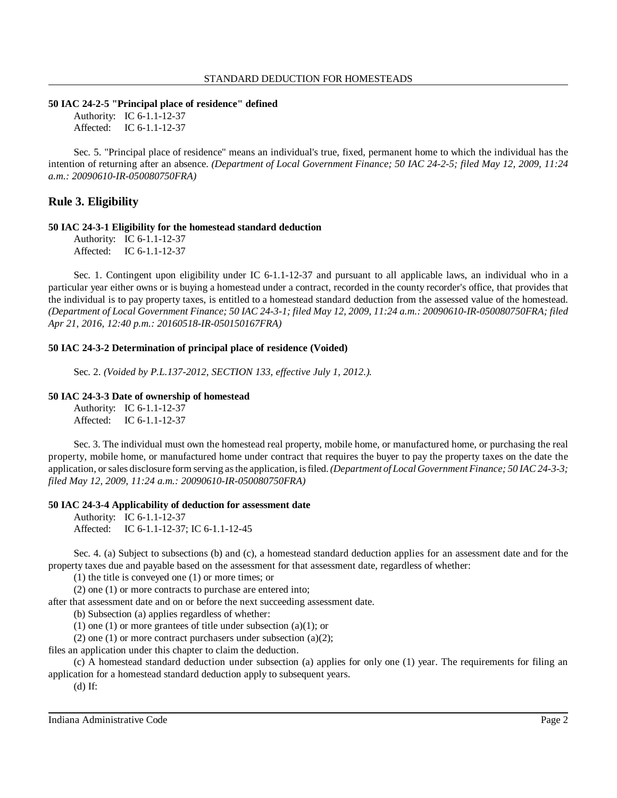#### **50 IAC 24-2-5 "Principal place of residence" defined**

Authority: IC 6-1.1-12-37 Affected: IC 6-1.1-12-37

Sec. 5. "Principal place of residence" means an individual's true, fixed, permanent home to which the individual has the intention of returning after an absence. *(Department of Local Government Finance; 50 IAC 24-2-5; filed May 12, 2009, 11:24 a.m.: 20090610-IR-050080750FRA)*

## **Rule 3. Eligibility**

#### **50 IAC 24-3-1 Eligibility for the homestead standard deduction**

Authority: IC 6-1.1-12-37 Affected: IC 6-1.1-12-37

Sec. 1. Contingent upon eligibility under IC 6-1.1-12-37 and pursuant to all applicable laws, an individual who in a particular year either owns or is buying a homestead under a contract, recorded in the county recorder's office, that provides that the individual is to pay property taxes, is entitled to a homestead standard deduction from the assessed value of the homestead. (Department of Local Government Finance; 50 IAC 24-3-1; filed May 12, 2009, 11:24 a.m.: 20090610-IR-050080750FRA; filed *Apr 21, 2016, 12:40 p.m.: 20160518-IR-050150167FRA)*

#### **50 IAC 24-3-2 Determination of principal place of residence (Voided)**

Sec. 2. *(Voided by P.L.137-2012, SECTION 133, effective July 1, 2012.).*

### **50 IAC 24-3-3 Date of ownership of homestead**

Authority: IC 6-1.1-12-37 Affected: IC 6-1.1-12-37

Sec. 3. The individual must own the homestead real property, mobile home, or manufactured home, or purchasing the real property, mobile home, or manufactured home under contract that requires the buyer to pay the property taxes on the date the application, orsales disclosure form serving asthe application, isfiled.*(Department of Local Government Finance; 50 IAC 24-3-3; filed May 12, 2009, 11:24 a.m.: 20090610-IR-050080750FRA)*

#### **50 IAC 24-3-4 Applicability of deduction for assessment date**

Authority: IC 6-1.1-12-37 Affected: IC 6-1.1-12-37; IC 6-1.1-12-45

Sec. 4. (a) Subject to subsections (b) and (c), a homestead standard deduction applies for an assessment date and for the property taxes due and payable based on the assessment for that assessment date, regardless of whether:

(1) the title is conveyed one (1) or more times; or

(2) one (1) or more contracts to purchase are entered into;

after that assessment date and on or before the next succeeding assessment date.

(b) Subsection (a) applies regardless of whether:

(1) one (1) or more grantees of title under subsection (a)(1); or

(2) one (1) or more contract purchasers under subsection (a)(2);

files an application under this chapter to claim the deduction.

(c) A homestead standard deduction under subsection (a) applies for only one (1) year. The requirements for filing an application for a homestead standard deduction apply to subsequent years.

(d) If: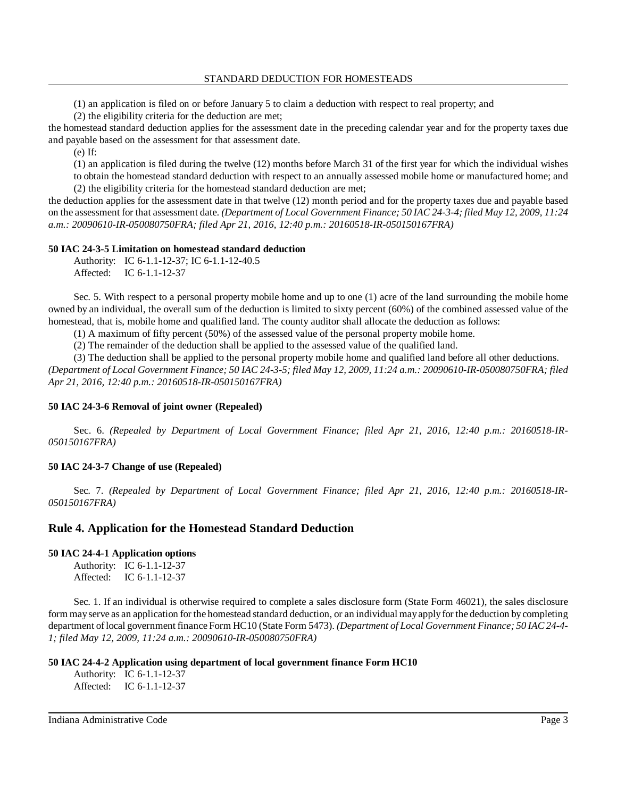(1) an application is filed on or before January 5 to claim a deduction with respect to real property; and

(2) the eligibility criteria for the deduction are met;

the homestead standard deduction applies for the assessment date in the preceding calendar year and for the property taxes due and payable based on the assessment for that assessment date.

(e) If:

(1) an application is filed during the twelve (12) months before March 31 of the first year for which the individual wishes to obtain the homestead standard deduction with respect to an annually assessed mobile home or manufactured home; and (2) the eligibility criteria for the homestead standard deduction are met;

the deduction applies for the assessment date in that twelve (12) month period and for the property taxes due and payable based on the assessment for that assessment date. *(Department of Local Government Finance; 50 IAC 24-3-4; filed May 12, 2009, 11:24 a.m.: 20090610-IR-050080750FRA; filed Apr 21, 2016, 12:40 p.m.: 20160518-IR-050150167FRA)*

## **50 IAC 24-3-5 Limitation on homestead standard deduction**

Authority: IC 6-1.1-12-37; IC 6-1.1-12-40.5 Affected: IC 6-1.1-12-37

Sec. 5. With respect to a personal property mobile home and up to one (1) acre of the land surrounding the mobile home owned by an individual, the overall sum of the deduction is limited to sixty percent (60%) of the combined assessed value of the homestead, that is, mobile home and qualified land. The county auditor shall allocate the deduction as follows:

(1) A maximum of fifty percent (50%) of the assessed value of the personal property mobile home.

(2) The remainder of the deduction shall be applied to the assessed value of the qualified land.

(3) The deduction shall be applied to the personal property mobile home and qualified land before all other deductions.

(Department of Local Government Finance; 50 IAC 24-3-5; filed May 12, 2009, 11:24 a.m.: 20090610-IR-050080750FRA; filed *Apr 21, 2016, 12:40 p.m.: 20160518-IR-050150167FRA)*

## **50 IAC 24-3-6 Removal of joint owner (Repealed)**

Sec. 6. *(Repealed by Department of Local Government Finance; filed Apr 21, 2016, 12:40 p.m.: 20160518-IR-050150167FRA)*

## **50 IAC 24-3-7 Change of use (Repealed)**

Sec. 7. *(Repealed by Department of Local Government Finance; filed Apr 21, 2016, 12:40 p.m.: 20160518-IR-050150167FRA)*

## **Rule 4. Application for the Homestead Standard Deduction**

## **50 IAC 24-4-1 Application options**

Authority: IC 6-1.1-12-37 Affected: IC 6-1.1-12-37

Sec. 1. If an individual is otherwise required to complete a sales disclosure form (State Form 46021), the sales disclosure form mayserve as an application for the homestead standard deduction, or an individual mayapplyfor the deduction bycompleting department oflocal government finance Form HC10 (State Form 5473). *(Department of Local Government Finance; 50 IAC 24-4- 1; filed May 12, 2009, 11:24 a.m.: 20090610-IR-050080750FRA)*

## **50 IAC 24-4-2 Application using department of local government finance Form HC10**

Authority: IC 6-1.1-12-37 Affected: IC 6-1.1-12-37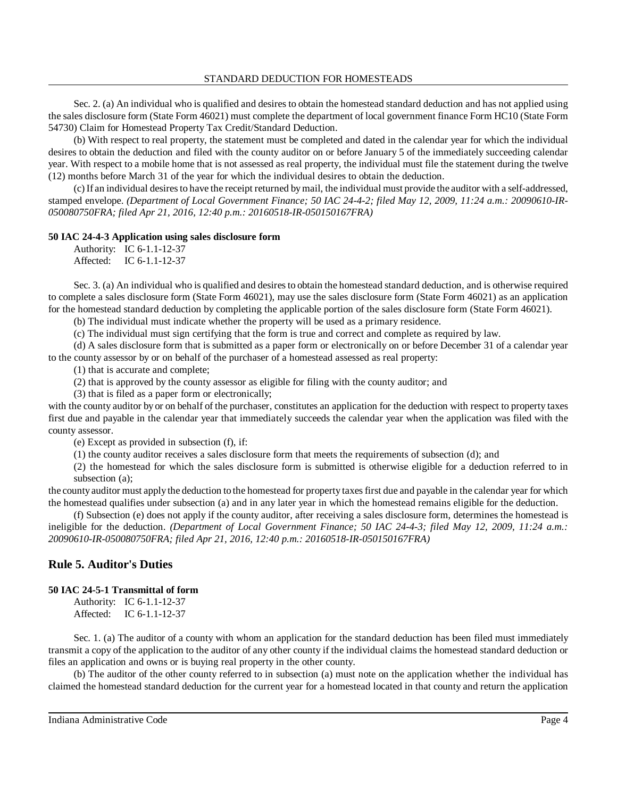Sec. 2. (a) An individual who is qualified and desires to obtain the homestead standard deduction and has not applied using the sales disclosure form (State Form 46021) must complete the department of local government finance Form HC10 (State Form 54730) Claim for Homestead Property Tax Credit/Standard Deduction.

(b) With respect to real property, the statement must be completed and dated in the calendar year for which the individual desires to obtain the deduction and filed with the county auditor on or before January 5 of the immediately succeeding calendar year. With respect to a mobile home that is not assessed as real property, the individual must file the statement during the twelve (12) months before March 31 of the year for which the individual desires to obtain the deduction.

(c) If an individual desiresto have the receipt returned bymail, the individual must provide the auditor with a self-addressed, stamped envelope. *(Department of Local Government Finance; 50 IAC 24-4-2; filed May 12, 2009, 11:24 a.m.: 20090610-IR-050080750FRA; filed Apr 21, 2016, 12:40 p.m.: 20160518-IR-050150167FRA)*

## **50 IAC 24-4-3 Application using sales disclosure form**

Authority: IC 6-1.1-12-37 Affected: IC 6-1.1-12-37

Sec. 3. (a) An individual who is qualified and desires to obtain the homestead standard deduction, and is otherwise required to complete a sales disclosure form (State Form 46021), may use the sales disclosure form (State Form 46021) as an application for the homestead standard deduction by completing the applicable portion of the sales disclosure form (State Form 46021).

(b) The individual must indicate whether the property will be used as a primary residence.

(c) The individual must sign certifying that the form is true and correct and complete as required by law.

(d) A sales disclosure form that is submitted as a paper form or electronically on or before December 31 of a calendar year to the county assessor by or on behalf of the purchaser of a homestead assessed as real property:

(1) that is accurate and complete;

(2) that is approved by the county assessor as eligible for filing with the county auditor; and

(3) that is filed as a paper form or electronically;

with the county auditor by or on behalf of the purchaser, constitutes an application for the deduction with respect to property taxes first due and payable in the calendar year that immediately succeeds the calendar year when the application was filed with the county assessor.

(e) Except as provided in subsection (f), if:

(1) the county auditor receives a sales disclosure form that meets the requirements of subsection (d); and

(2) the homestead for which the sales disclosure form is submitted is otherwise eligible for a deduction referred to in subsection (a);

the county auditor must apply the deduction to the homestead for property taxes first due and payable in the calendar year for which the homestead qualifies under subsection (a) and in any later year in which the homestead remains eligible for the deduction.

(f) Subsection (e) does not apply if the county auditor, after receiving a sales disclosure form, determines the homestead is ineligible for the deduction. *(Department of Local Government Finance; 50 IAC 24-4-3; filed May 12, 2009, 11:24 a.m.: 20090610-IR-050080750FRA; filed Apr 21, 2016, 12:40 p.m.: 20160518-IR-050150167FRA)*

## **Rule 5. Auditor's Duties**

## **50 IAC 24-5-1 Transmittal of form**

Authority: IC 6-1.1-12-37 Affected: IC 6-1.1-12-37

Sec. 1. (a) The auditor of a county with whom an application for the standard deduction has been filed must immediately transmit a copy of the application to the auditor of any other county if the individual claims the homestead standard deduction or files an application and owns or is buying real property in the other county.

(b) The auditor of the other county referred to in subsection (a) must note on the application whether the individual has claimed the homestead standard deduction for the current year for a homestead located in that county and return the application